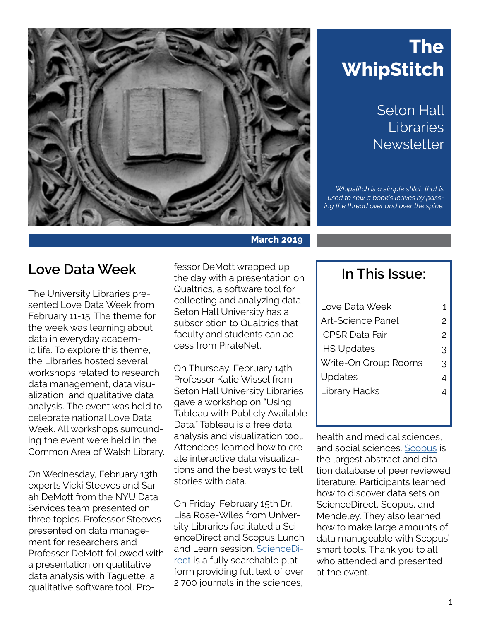

# **The WhipStitch**

Seton Hall Libraries **Newsletter** 

*Whipstitch is a simple stitch that is used to sew a book's leaves by passing the thread over and over the spine.* 

#### **Love Data Week**

The University Libraries presented Love Data Week from February 11-15. The theme for the week was learning about data in everyday academic life. To explore this theme, the Libraries hosted several workshops related to research data management, data visualization, and qualitative data analysis. The event was held to celebrate national Love Data Week. All workshops surrounding the event were held in the Common Area of Walsh Library.

On Wednesday, February 13th experts Vicki Steeves and Sarah DeMott from the NYU Data Services team presented on three topics. Professor Steeves presented on data management for researchers and Professor DeMott followed with a presentation on qualitative data analysis with Taguette, a qualitative software tool. Professor DeMott wrapped up the day with a presentation on Qualtrics, a software tool for collecting and analyzing data. Seton Hall University has a subscription to Qualtrics that faculty and students can access from PirateNet.

On Thursday, February 14th Professor Katie Wissel from Seton Hall University Libraries gave a workshop on "Using Tableau with Publicly Available Data." Tableau is a free data analysis and visualization tool. Attendees learned how to create interactive data visualizations and the best ways to tell stories with data.

On Friday, February 15th Dr. Lisa Rose-Wiles from University Libraries facilitated a ScienceDirect and Scopus Lunch and Learn session. [ScienceDi](https://library.shu.edu/az.php?s=56846&q=sciencedirect)[rect](https://library.shu.edu/az.php?s=56846&q=sciencedirect) is a fully searchable platform providing full text of over 2,700 journals in the sciences,

#### **In This Issue:**

| Love Data Week           |               |
|--------------------------|---------------|
| <b>Art-Science Panel</b> | $\mathcal{P}$ |
| <b>ICPSR Data Fair</b>   | $\mathcal{P}$ |
| <b>IHS Updates</b>       | 3             |
| Write-On Group Rooms     | 3             |
| Updates                  | 4             |
| Library Hacks            | 4             |
|                          |               |
|                          |               |

health and medical sciences, and social sciences. [Scopus](https://library.shu.edu/az.php?s=56846&q=Scopus) is the largest abstract and citation database of peer reviewed literature. Participants learned how to discover data sets on ScienceDirect, Scopus, and Mendeley. They also learned how to make large amounts of data manageable with Scopus' smart tools. Thank you to all who attended and presented at the event.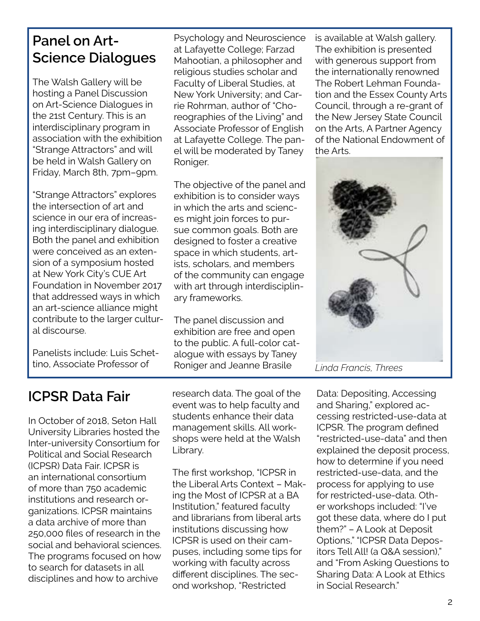#### <span id="page-1-0"></span>**Panel on Art-Science Dialogues**

The Walsh Gallery will be hosting a Panel Discussion on Art-Science Dialogues in the 21st Century. This is an interdisciplinary program in association with the exhibition "Strange Attractors" and will be held in Walsh Gallery on Friday, March 8th, 7pm–9pm.

"Strange Attractors" explores the intersection of art and science in our era of increasing interdisciplinary dialogue. Both the panel and exhibition were conceived as an extension of a symposium hosted at New York City's CUE Art Foundation in November 2017 that addressed ways in which an art-science alliance might contribute to the larger cultural discourse.

Panelists include: Luis Schettino, Associate Professor of

Psychology and Neuroscience at Lafayette College; Farzad Mahootian, a philosopher and religious studies scholar and Faculty of Liberal Studies, at New York University; and Carrie Rohrman, author of "Choreographies of the Living" and Associate Professor of English at Lafayette College. The panel will be moderated by Taney Roniger.

The objective of the panel and exhibition is to consider ways in which the arts and sciences might join forces to pursue common goals. Both are designed to foster a creative space in which students, artists, scholars, and members of the community can engage with art through interdisciplinary frameworks.

The panel discussion and exhibition are free and open to the public. A full-color catalogue with essays by Taney Roniger and Jeanne Brasile

tion and the Essex County Arts Council, through a re-grant of the New Jersey State Council on the Arts, A Partner Agency of the National Endowment of the Arts.



is available at Walsh gallery. The exhibition is presented with generous support from the internationally renowned The Robert Lehman Founda-

### **ICPSR Data Fair**

In October of 2018, Seton Hall University Libraries hosted the Inter-university Consortium for Political and Social Research (ICPSR) Data Fair. ICPSR is an international consortium of more than 750 academic institutions and research organizations. ICPSR maintains a data archive of more than 250,000 files of research in the social and behavioral sciences. The programs focused on how to search for datasets in all disciplines and how to archive

research data. The goal of the event was to help faculty and students enhance their data management skills. All workshops were held at the Walsh Library.

The first workshop, "ICPSR in the Liberal Arts Context – Making the Most of ICPSR at a BA Institution," featured faculty and librarians from liberal arts institutions discussing how ICPSR is used on their campuses, including some tips for working with faculty across different disciplines. The second workshop, "Restricted

Data: Depositing, Accessing and Sharing," explored accessing restricted-use-data at ICPSR. The program defined "restricted-use-data" and then explained the deposit process, how to determine if you need restricted-use-data, and the process for applying to use for restricted-use-data. Other workshops included: "I've got these data, where do I put them?" – A Look at Deposit Options," "ICPSR Data Depositors Tell All! (a Q&A session)," and "From Asking Questions to Sharing Data: A Look at Ethics in Social Research."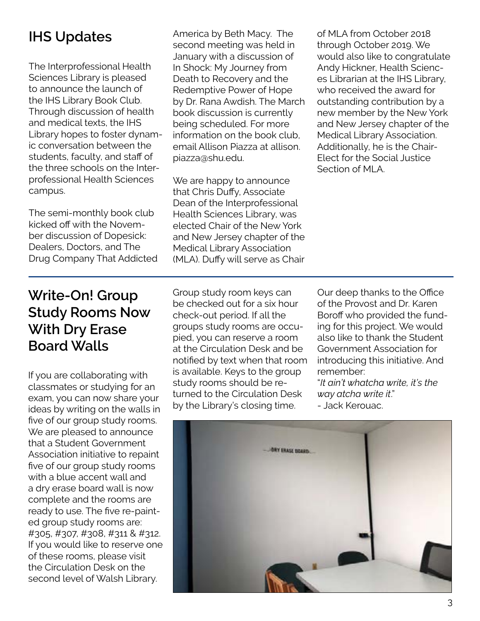## <span id="page-2-0"></span>**IHS Updates**

The Interprofessional Health Sciences Library is pleased to announce the launch of the IHS Library Book Club. Through discussion of health and medical texts, the IHS Library hopes to foster dynamic conversation between the students, faculty, and staff of the three schools on the Interprofessional Health Sciences campus.

The semi-monthly book club kicked off with the November discussion of Dopesick: Dealers, Doctors, and The Drug Company That Addicted America by Beth Macy. The second meeting was held in January with a discussion of In Shock: My Journey from Death to Recovery and the Redemptive Power of Hope by Dr. Rana Awdish. The March book discussion is currently being scheduled. For more information on the book club, email Allison Piazza at allison. piazza@shu.edu.

We are happy to announce that Chris Duffy, Associate Dean of the Interprofessional Health Sciences Library, was elected Chair of the New York and New Jersey chapter of the Medical Library Association (MLA). Duffy will serve as Chair of MLA from October 2018 through October 2019. We would also like to congratulate Andy Hickner, Health Sciences Librarian at the IHS Library, who received the award for outstanding contribution by a new member by the New York and New Jersey chapter of the Medical Library Association. Additionally, he is the Chair-Elect for the Social Justice Section of MLA.

## **Write-On! Group Study Rooms Now With Dry Erase Board Walls**

If you are collaborating with classmates or studying for an exam, you can now share your ideas by writing on the walls in five of our group study rooms. We are pleased to announce that a Student Government Association initiative to repaint five of our group study rooms with a blue accent wall and a dry erase board wall is now complete and the rooms are ready to use. The five re-painted group study rooms are: #305, #307, #308, #311 & #312. If you would like to reserve one of these rooms, please visit the Circulation Desk on the second level of Walsh Library.

Group study room keys can be checked out for a six hour check-out period. If all the groups study rooms are occupied, you can reserve a room at the Circulation Desk and be notified by text when that room is available. Keys to the group study rooms should be returned to the Circulation Desk by the Library's closing time.

Our deep thanks to the Office of the Provost and Dr. Karen Boroff who provided the funding for this project. We would also like to thank the Student Government Association for introducing this initiative. And remember:

"*It ain't whatcha write, it's the way atcha write it*."

- Jack Kerouac.